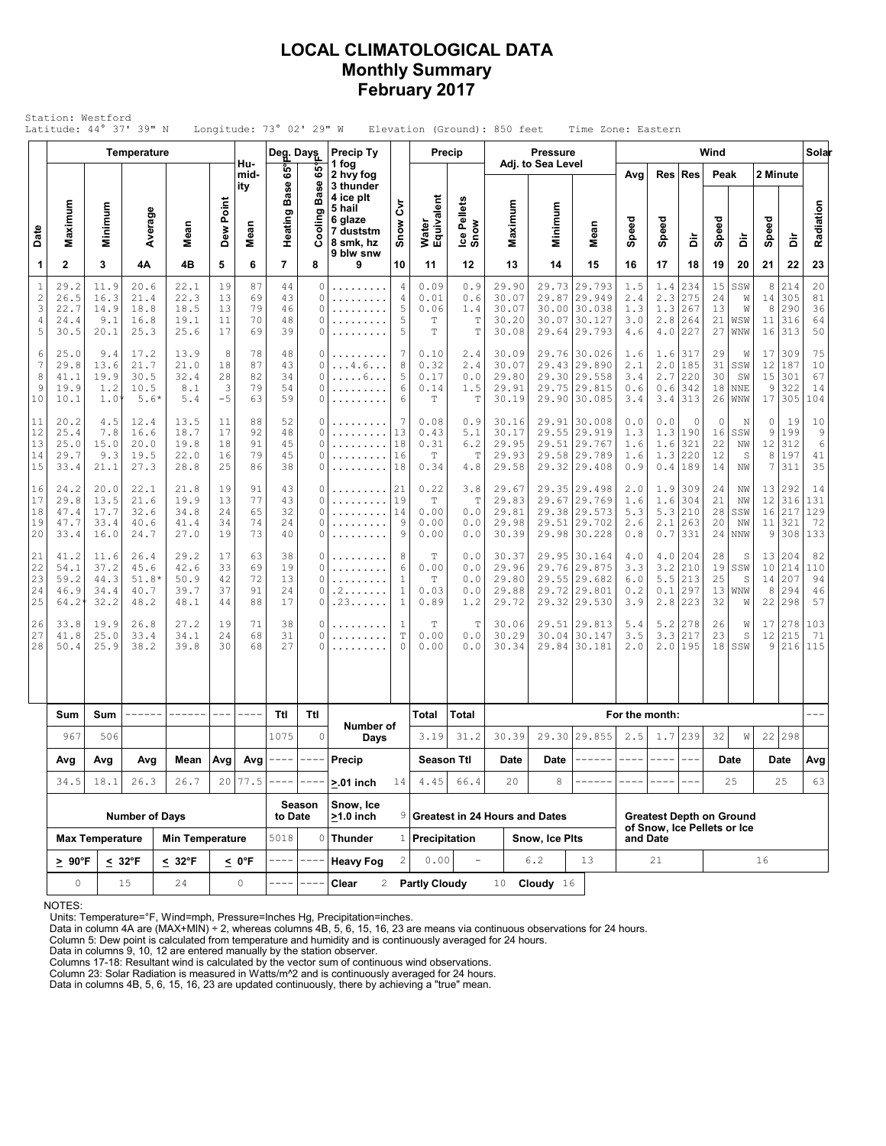### **LOCAL CLIMATOLOGICAL DATA Monthly Summary February 2017**

|                                           |                                                |                                                                                       | <b>Temperature</b>                      |                                                                                                                                                                                                                                                                                                                                                                                                                                                                                      |                                         |                            | Deg. Days                  |                         | Precip Ty                                              |                                                        |                                   | Precip                                    |                                           | <b>Pressure</b>         |                                                                              |                                 |                                 |                                     | Wind                       |                                     |                           |                                       | Solar                                         |
|-------------------------------------------|------------------------------------------------|---------------------------------------------------------------------------------------|-----------------------------------------|--------------------------------------------------------------------------------------------------------------------------------------------------------------------------------------------------------------------------------------------------------------------------------------------------------------------------------------------------------------------------------------------------------------------------------------------------------------------------------------|-----------------------------------------|----------------------------|----------------------------|-------------------------|--------------------------------------------------------|--------------------------------------------------------|-----------------------------------|-------------------------------------------|-------------------------------------------|-------------------------|------------------------------------------------------------------------------|---------------------------------|---------------------------------|-------------------------------------|----------------------------|-------------------------------------|---------------------------|---------------------------------------|-----------------------------------------------|
|                                           |                                                |                                                                                       |                                         |                                                                                                                                                                                                                                                                                                                                                                                                                                                                                      |                                         | Hu-<br>mid-<br>ity         | 65°<br>Base                | 65°<br><b>Base</b><br>ත | 1 fog<br>2 hvy fog<br>3 thunder<br>4 ice plt<br>5 hail | ξ                                                      |                                   |                                           |                                           | Adj. to Sea Level       |                                                                              | Avg                             |                                 | Res Res                             | Peak                       |                                     | 2 Minute                  |                                       |                                               |
| Date                                      | Maximum                                        | Minimum                                                                               | Average                                 | Mean                                                                                                                                                                                                                                                                                                                                                                                                                                                                                 | Dew Point                               | Mean                       | Heating                    | Ξ                       | 6 glaze<br>7 duststm<br>8 smk, hz<br>9 blw snw         | Snow                                                   | Water<br>Equivalent               | Ice Pellets<br>Snow                       | Maximum                                   | Minimum                 | Mean                                                                         | Speed                           | Speed                           | à                                   | Speed                      | à                                   | Speed                     | à                                     | Radiation                                     |
| 1                                         | $\mathbf 2$                                    | 3                                                                                     | 4Α                                      | 4B                                                                                                                                                                                                                                                                                                                                                                                                                                                                                   | 5                                       | 6                          | 7                          | 8                       | 9                                                      | 10                                                     | 11                                | 12                                        | 13                                        | 14                      | 15                                                                           | 16                              | 17                              | 18                                  | 19                         | 20                                  | 21                        | 22                                    | 23                                            |
| $\mathbf{1}$<br>$\sqrt{2}$<br>3<br>4<br>5 | 29.2<br>26.5<br>22.7<br>24.4<br>30.5           | 11.9<br>16.3<br>14.9<br>9.1<br>20.1                                                   | 20.6<br>21.4<br>18.8<br>16.8<br>25.3    | 22.1<br>22.3<br>18.5<br>19.1<br>25.6                                                                                                                                                                                                                                                                                                                                                                                                                                                 | 19<br>13<br>13<br>11<br>17              | 87<br>69<br>79<br>70<br>69 | 44<br>43<br>46<br>48<br>39 | 0<br>0<br>0<br>0<br>0   | .<br>.<br>.<br>.                                       | 4<br>4<br>5<br>5<br>5                                  | 0.09<br>0.01<br>0.06<br>T<br>Т    | 0.9<br>0.6<br>1.4<br>$\mathbb T$<br>T     | 29.90<br>30.07<br>30.07<br>30.20<br>30.08 | 29.87                   | 29.73 29.793<br>29.949<br>30.00 30.038<br>30.07 30.127<br>29.64 29.793       | 1.5<br>2.4<br>1.3<br>3.0<br>4.6 | 1.4<br>2.3<br>1.3<br>2.8<br>4.0 | 234<br>275<br>267<br>264<br>227     | 15<br>24<br>13<br>21<br>27 | SSW<br>W<br>W<br>WSW<br>WNW         | 8<br>14<br>8<br>11<br>16  | 214<br>305<br>290<br>316<br>313       | 20<br>81<br>36<br>64<br>50                    |
| 6<br>7<br>8<br>9<br>10                    | 25.0<br>29.8<br>41.1<br>19.9<br>10.1           | 9.4<br>13.6<br>19.9<br>1.2<br>$1.0^{\circ}$                                           | 17.2<br>21.7<br>30.5<br>10.5<br>$5.6*$  | 13.9<br>21.0<br>32.4<br>8.1<br>5.4                                                                                                                                                                                                                                                                                                                                                                                                                                                   | 8<br>18<br>28<br>$\overline{3}$<br>$-5$ | 78<br>87<br>82<br>79<br>63 | 48<br>43<br>34<br>54<br>59 | 0<br>0<br>0<br>0<br>0   | .<br>$\dots 4.6\dots$<br>. 6<br>.                      | 7<br>8<br>5<br>6<br>6                                  | 0.10<br>0.32<br>0.17<br>0.14<br>T | 2.4<br>2.4<br>0.0<br>1.5<br>$\mathbb T$   | 30.09<br>30.07<br>29.80<br>29.91<br>30.19 |                         | 29.76 30.026<br>29.43 29.890<br>29.30 29.558<br>29.75 29.815<br>29.90 30.085 | 1.6<br>2.1<br>3.4<br>0.6<br>3.4 | 1.6<br>2.0<br>2.7<br>0.6<br>3.4 | 317<br>185<br>220<br>342<br>313     | 29<br>31<br>30<br>18<br>26 | W<br>SSW<br>SW<br><b>NNE</b><br>WNW | 17<br>12<br>15<br>9<br>17 | 309<br>187<br>301<br>322<br>305       | 75<br>10<br>67<br>14<br>104                   |
| 11<br>12<br>13<br>14<br>15                | 20.2<br>25.4<br>25.0<br>29.7<br>33.4           | 4.5<br>7.8<br>15.0<br>9.3<br>21.1                                                     | 12.4<br>16.6<br>20.0<br>19.5<br>27.3    | 13.5<br>18.7<br>19.8<br>22.0<br>28.8                                                                                                                                                                                                                                                                                                                                                                                                                                                 | 11<br>17<br>18<br>16<br>25              | 88<br>92<br>91<br>79<br>86 | 52<br>48<br>45<br>45<br>38 | 0<br>0<br>0<br>0<br>0   | .<br>.<br>.                                            | 7<br>13<br>18<br>16<br>18                              | 0.08<br>0.43<br>0.31<br>Т<br>0.34 | 0.9<br>5.1<br>$6.2$<br>$\mathbb T$<br>4.8 | 30.16<br>30.17<br>29.95<br>29.93<br>29.58 | 29.91<br>29.55<br>29.51 | 30.008<br>29.919<br> 29.767<br>29.58 29.789<br>29.32 29.408                  | 0.0<br>1.3<br>1.6<br>1.6<br>0.9 | 0.0<br>1.3<br>1.6<br>1.3<br>0.4 | $\circ$<br>190<br>321<br>220<br>189 | 0<br>16<br>22<br>12<br>14  | N<br>SSW<br>NW<br>S<br>NW           | 0<br>9<br>12<br>8<br>7    | 19<br>199<br>312<br>197<br>311        | 10<br>$\mathcal{G}$<br>$\epsilon$<br>41<br>35 |
| 16<br>17<br>18<br>19<br>20                | 24.2<br>29.8<br>47.4<br>47.7<br>33.4           | 20.0<br>13.5<br>17.7<br>33.4<br>16.0                                                  | 22.1<br>21.6<br>32.6<br>40.6<br>24.7    | 21.8<br>19.9<br>34.8<br>41.4<br>27.0                                                                                                                                                                                                                                                                                                                                                                                                                                                 | 19<br>13<br>24<br>34<br>19              | 91<br>77<br>65<br>74<br>73 | 43<br>43<br>32<br>24<br>40 | 0<br>0<br>0<br>0<br>0   | .<br>.<br>.<br>.<br>.                                  | 21<br>19<br>14<br>9<br>9                               | 0.22<br>Т<br>0.00<br>0.00<br>0.00 | 3.8<br>$\mathbb T$<br>0.0<br>0.0<br>0.0   | 29.67<br>29.83<br>29.81<br>29.98<br>30.39 | 29.51                   | 29.35 29.498<br>29.67 29.769<br>29.38 29.573<br>29.702<br>29.98 30.228       | 2.0<br>1.6<br>5.3<br>2.6<br>0.8 | 1.9<br>1.6<br>5.3<br>2.1<br>0.7 | 309<br>304<br>210<br>263<br>331     | 24<br>21<br>28<br>20<br>24 | ΝW<br>NW<br>SSW<br>NW<br>NNW        | 12<br>11<br>9             | 13 292<br>316<br>16 217<br>321<br>308 | 14<br>131<br>129<br>72<br>133                 |
| 21<br>22<br>23<br>24<br>25                | 41.2<br>54.1<br>59.2<br>46.9<br>$64.2^{\circ}$ | 11.6<br>37.2<br>44.3<br>34.4<br>32.2                                                  | 26.4<br>45.6<br>$51.8*$<br>40.7<br>48.2 | 29.2<br>42.6<br>50.9<br>39.7<br>48.1                                                                                                                                                                                                                                                                                                                                                                                                                                                 | 17<br>33<br>42<br>37<br>44              | 63<br>69<br>72<br>91<br>88 | 38<br>19<br>13<br>24<br>17 | 0<br>0<br>0<br>0<br>0   | .<br>.<br>. 2<br>.23                                   | 8<br>6<br>$\mathbf{1}$<br>$\mathbf{1}$<br>$\mathbf{1}$ | Т<br>0.00<br>T<br>0.03<br>0.89    | 0.0<br>0.0<br>0.0<br>0.0<br>1.2           | 30.37<br>29.96<br>29.80<br>29.88<br>29.72 |                         | 29.95 30.164<br>29.76 29.875<br>29.55 29.682<br>29.72 29.801<br>29.32 29.530 | 4.0<br>3.3<br>6.0<br>0.2<br>3.9 | 4.0<br>3.2<br>5.5<br>0.1<br>2.8 | 204<br>210<br>213<br>297<br>223     | 28<br>19<br>25<br>13<br>32 | S<br>SSW<br>S<br>WNW<br>W           | 10<br>14<br>8<br>22       | 13 204<br>214<br>207<br>294<br>298    | 82<br>110<br>94<br>46<br>57                   |
| 26<br>27<br>28                            | 33.8<br>41.8<br>50.4                           | 19.9<br>25.0<br>25.9                                                                  | 26.8<br>33.4<br>38.2                    | 27.2<br>34.1<br>39.8                                                                                                                                                                                                                                                                                                                                                                                                                                                                 | 19<br>24<br>30                          | 71<br>68<br>68             | 38<br>31<br>27             | 0<br>0<br>0             | .                                                      | 1<br>T<br>0                                            | Т<br>0.00<br>0.00                 | Т<br>$0.0$<br>0.0                         | 30.06<br>30.29<br>30.34                   | 30.04                   | 29.51 29.813<br> 30.147<br>29.84 30.181                                      | 5.4<br>3.5<br>2.0               | 5.2<br>3.3<br>2.0               | 278<br>217<br>195                   | 26<br>23                   | W<br>$\rm S$<br>$18$ SSW            | 17<br>12<br>9             | 278<br>215<br>216                     | 103<br>71<br>115                              |
|                                           |                                                |                                                                                       |                                         |                                                                                                                                                                                                                                                                                                                                                                                                                                                                                      |                                         |                            |                            |                         |                                                        |                                                        |                                   |                                           |                                           |                         |                                                                              |                                 |                                 |                                     |                            |                                     |                           |                                       |                                               |
|                                           | Sum<br>967                                     | Sum<br>506                                                                            | ------                                  | $\begin{tabular}{cccccc} \multicolumn{2}{c}{} & \multicolumn{2}{c}{} & \multicolumn{2}{c}{} & \multicolumn{2}{c}{} & \multicolumn{2}{c}{} & \multicolumn{2}{c}{} & \multicolumn{2}{c}{} & \multicolumn{2}{c}{} & \multicolumn{2}{c}{} & \multicolumn{2}{c}{} & \multicolumn{2}{c}{} & \multicolumn{2}{c}{} & \multicolumn{2}{c}{} & \multicolumn{2}{c}{} & \multicolumn{2}{c}{} & \multicolumn{2}{c}{} & \multicolumn{2}{c}{} & \multicolumn{2}{c}{} & \multicolumn{2}{c}{} & \mult$ | $  -$                                   | ----                       | Ttl<br>1075                | Ttl<br>$\circ$          | Number of                                              |                                                        | Total<br>3.19                     | Total<br>31.2                             | 30.39                                     |                         | 29.30 29.855                                                                 | For the month:<br>2.5           | 1.7                             | 239                                 | 32                         | W                                   |                           | 22 298                                | $---$                                         |
|                                           | Avg                                            | Days<br>Avg $\left $ Avg $\left $ ----<br>Avg<br>Avg<br>Mean<br>$- - - - -$<br>Precip |                                         |                                                                                                                                                                                                                                                                                                                                                                                                                                                                                      | <b>Season Ttl</b>                       |                            | Date                       | Date                    | ------                                                 | ----                                                   | $\qquad \qquad - - -$             |                                           |                                           | Date                    |                                                                              | Date                            | Avg                             |                                     |                            |                                     |                           |                                       |                                               |
|                                           | 34.5                                           | 18.1                                                                                  | 26.3                                    | 26.7                                                                                                                                                                                                                                                                                                                                                                                                                                                                                 |                                         | 20 77.5                    |                            |                         | $> 01$ inch                                            | 14                                                     | 4.45                              | 66.4                                      | 20                                        | 8                       |                                                                              |                                 |                                 |                                     |                            | 25                                  |                           | 25                                    | 63                                            |
|                                           |                                                |                                                                                       | <b>Number of Days</b>                   |                                                                                                                                                                                                                                                                                                                                                                                                                                                                                      |                                         |                            | to Date                    | Season                  | Snow, Ice<br>$>1.0$ inch                               | 9                                                      |                                   |                                           | <b>Greatest in 24 Hours and Dates</b>     |                         |                                                                              |                                 |                                 | <b>Greatest Depth on Ground</b>     |                            |                                     |                           |                                       |                                               |
|                                           |                                                | <b>Max Temperature</b>                                                                |                                         | <b>Min Temperature</b>                                                                                                                                                                                                                                                                                                                                                                                                                                                               |                                         |                            | 5018                       | 0                       | <b>Thunder</b>                                         |                                                        | $1$ Precipitation                 |                                           |                                           | Snow, Ice Pits          |                                                                              | and Date                        |                                 | of Snow, Ice Pellets or Ice         |                            |                                     |                           |                                       |                                               |
|                                           | $\geq 90^{\circ}$ F                            |                                                                                       | $< 32^{\circ}F$                         | $\leq 32^{\circ}$ F                                                                                                                                                                                                                                                                                                                                                                                                                                                                  |                                         | <u>&lt;</u> 0°F            |                            |                         | <b>Heavy Fog</b>                                       | 2                                                      | 0.00                              | ÷,                                        | 13<br>6.2                                 |                         |                                                                              | 21                              |                                 |                                     | 16                         |                                     |                           |                                       |                                               |
|                                           | $\mathsf{O}\xspace$<br>15                      |                                                                                       |                                         | 24                                                                                                                                                                                                                                                                                                                                                                                                                                                                                   |                                         | 0                          |                            |                         | Clear<br>$\overline{2}$                                |                                                        | <b>Partly Cloudy</b>              |                                           | 10                                        | Cloudy $16$             |                                                                              |                                 |                                 |                                     |                            |                                     |                           |                                       |                                               |

NOTES:

Units: Temperature=°F, Wind=mph, Pressure=Inches Hg, Precipitation=inches. Data in column 4A are (MAX+MIN) ÷ 2, whereas columns 4B, 5, 6, 15, 16, 23 are means via continuous observations for 24 hours.

Column 5: Dew point is calculated from temperature and humidity and is continuously averaged for 24 hours.

Data in columns 9, 10, 12 are entered manually by the station observer. Columns 17-18: Resultant wind is calculated by the vector sum of continuous wind observations.

Column 23: Solar Radiation is measured in Watts/m^2 and is continuously averaged for 24 hours.

Data in columns 4B, 5, 6, 15, 16, 23 are updated continuously, there by achieving a "true" mean.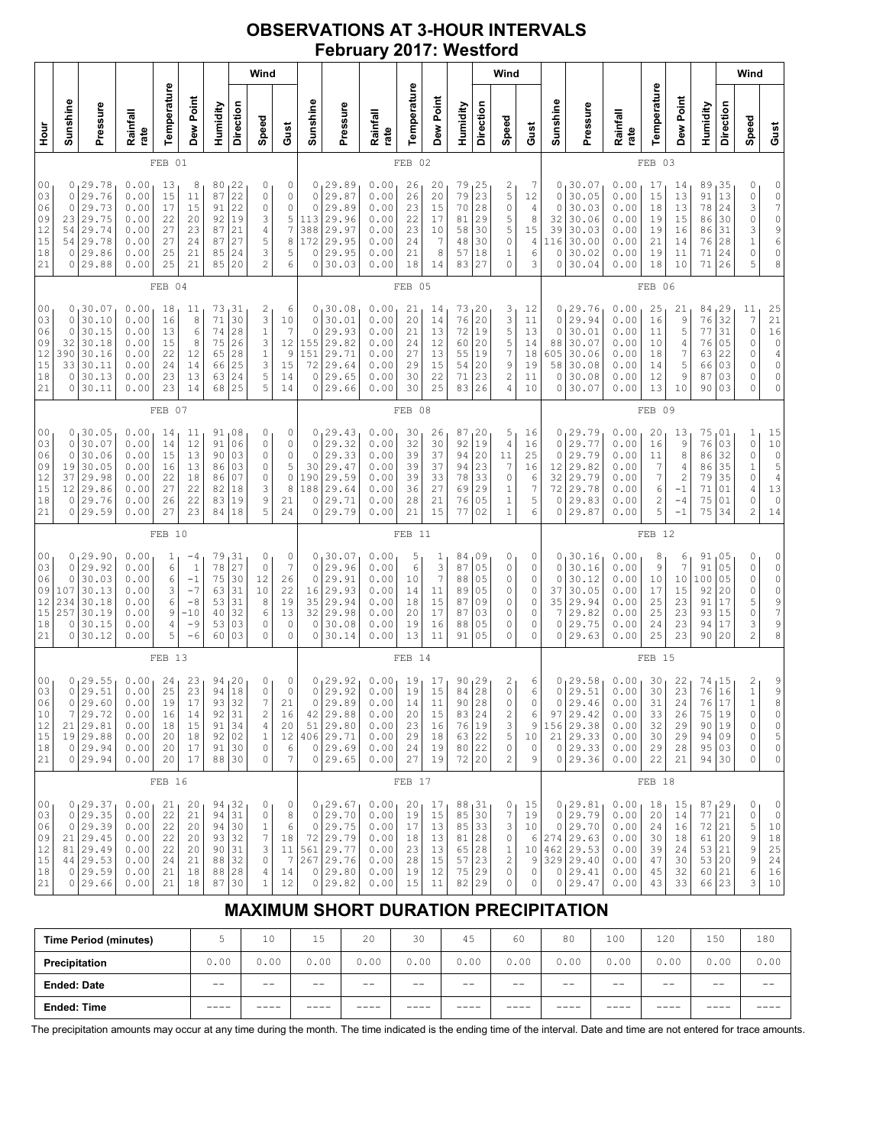## **OBSERVATIONS AT 3-HOUR INTERVALS February 2017: Westford**

|                                              | Wind                                                                                                                                                                                                                                                                                                                                                                                                                                |                                                                                 |                                                              |                                              |                                                                     |                                                    |                                               |                                                                          |                                                                    |                                                                      |                                                                              |                                                              |                                                         |                                              |                                                                            |                                                                | Wind                                             |                                                       |                                                                      |                                                                                         |                                                              |                                                  |                                                                          |                                                        |                                              | Wind                                                                                |                                                                                                         |
|----------------------------------------------|-------------------------------------------------------------------------------------------------------------------------------------------------------------------------------------------------------------------------------------------------------------------------------------------------------------------------------------------------------------------------------------------------------------------------------------|---------------------------------------------------------------------------------|--------------------------------------------------------------|----------------------------------------------|---------------------------------------------------------------------|----------------------------------------------------|-----------------------------------------------|--------------------------------------------------------------------------|--------------------------------------------------------------------|----------------------------------------------------------------------|------------------------------------------------------------------------------|--------------------------------------------------------------|---------------------------------------------------------|----------------------------------------------|----------------------------------------------------------------------------|----------------------------------------------------------------|--------------------------------------------------|-------------------------------------------------------|----------------------------------------------------------------------|-----------------------------------------------------------------------------------------|--------------------------------------------------------------|--------------------------------------------------|--------------------------------------------------------------------------|--------------------------------------------------------|----------------------------------------------|-------------------------------------------------------------------------------------|---------------------------------------------------------------------------------------------------------|
| Hour<br>H                                    | Temperature<br>Dew Point<br>Sunshine<br>Direction<br>Pressure<br>Humidity<br>Rainfall<br>Speed<br>rate<br>FEB 01                                                                                                                                                                                                                                                                                                                    |                                                                                 |                                                              |                                              |                                                                     |                                                    |                                               | Gust                                                                     | Sunshine                                                           | Pressure                                                             | Rainfall<br>rate                                                             | Temperature                                                  | Dew Point                                               | Humidity                                     | Direction                                                                  | Speed                                                          | Gust                                             | Sunshine                                              | Pressure                                                             | Rainfall<br>rate                                                                        | Temperature                                                  | Dew Point                                        | Humidity                                                                 | Direction                                              | Speed                                        | Gust                                                                                |                                                                                                         |
|                                              |                                                                                                                                                                                                                                                                                                                                                                                                                                     |                                                                                 |                                                              |                                              |                                                                     |                                                    |                                               |                                                                          |                                                                    |                                                                      |                                                                              |                                                              | FEB 02                                                  |                                              |                                                                            |                                                                |                                                  |                                                       |                                                                      |                                                                                         |                                                              | FEB 03                                           |                                                                          |                                                        |                                              |                                                                                     |                                                                                                         |
| 00<br>03<br>06<br>09<br>12<br>15<br>18<br>21 | 0.00<br>22<br>0<br>29.78<br>13<br>8<br>80<br>0<br>22<br>87<br>29.76<br>0.00<br>15<br>0<br>0<br>11<br>22<br>29.73<br>0.00<br>91<br>0<br>0<br>17<br>15<br>29.75<br>0.00<br>92<br>19<br>3<br>23<br>22<br>20<br>21<br>54<br>29.74<br>0.00<br>27<br>23<br>87<br>4<br>0.00<br>27<br>87<br>27<br>5<br>29.78<br>24<br>54<br>29.86<br>25<br>24<br>3<br>0<br>0.00<br>21<br>85<br>$\overline{c}$<br>29.88<br>25<br>21<br>85<br>20<br>0<br>0.00 |                                                                                 |                                                              |                                              |                                                                     |                                                    |                                               | 0<br>0<br>$\mathsf{O}\xspace$<br>5<br>$\overline{7}$<br>8<br>5<br>6      | 0<br>$\mathbf 0$<br>$\circ$<br>113<br>388<br>172<br>$\circ$<br>0   | 29.89<br>29.87<br>29.89<br>29.96<br>29.97<br>29.95<br>29.95<br>30.03 | 0.00<br>0.00<br>0.00<br>0.00<br>0.00<br>0.00<br>0.00<br>0.00                 | 26<br>26<br>23<br>22<br>23<br>24<br>21<br>18                 | 20<br>20<br>15<br>17<br>10<br>$\overline{7}$<br>8<br>14 | 79<br>79<br>70<br>81<br>58<br>48<br>57<br>83 | 25<br>23<br>28<br>29<br>30<br>30<br>18<br>27                               | 2<br>5<br>0<br>5<br>5<br>0<br>1<br>0                           | 7<br>12<br>4<br>8<br>15<br>4<br>6<br>3           | 0<br>0<br>$\Omega$<br>32<br>39<br>116<br>0<br>0       | 30.07<br>30.05<br>30.03<br>30.06<br>30.03<br>30.00<br>30.02<br>30.04 | 0.00<br>0.00<br>0.00<br>0.00<br>0.00<br>0.00<br>0.00<br>0.00                            | 17<br>15<br>18<br>19<br>19<br>21<br>19<br>18                 | 14<br>13<br>13<br>15<br>16<br>14<br>11<br>10     | 89<br>91<br>78<br>86<br>86<br>76<br>71<br>71                             | 35<br>13<br>24<br>30<br>31<br>28<br>24<br>26           | 0<br>0<br>3<br>0<br>3<br>$\,1$<br>0<br>5     | 0<br>$\mathbb O$<br>$\overline{7}$<br>$\circ$<br>9<br>6<br>$\mathbb O$<br>8         |                                                                                                         |
|                                              |                                                                                                                                                                                                                                                                                                                                                                                                                                     |                                                                                 |                                                              | FEB 04                                       |                                                                     |                                                    |                                               |                                                                          |                                                                    |                                                                      |                                                                              |                                                              | FEB 05                                                  |                                              |                                                                            |                                                                |                                                  |                                                       |                                                                      |                                                                                         |                                                              | FEB 06                                           |                                                                          |                                                        |                                              |                                                                                     |                                                                                                         |
| 00<br>03<br>06<br>09<br>12<br>15<br>18<br>21 | 0<br>0<br>$\circ$<br>32<br>390<br>33<br>$\circ$<br>0                                                                                                                                                                                                                                                                                                                                                                                | 30.07<br>30.10<br>30.15<br>30.18<br>30.16<br>30.11<br>30.13<br>30.11            | 0.00<br>0.00<br>0.00<br>0.00<br>0.00<br>0.00<br>0.00<br>0.00 | 18<br>16<br>13<br>15<br>22<br>24<br>23<br>23 | 11<br>8<br>6<br>8<br>12<br>14<br>13<br>14                           | 73<br>71<br>74<br>75<br>65<br>66<br>63<br>68       | 31<br>30<br>28<br>26<br>28<br>25<br>24<br>25  | $\overline{\mathbf{c}}$<br>3<br>$\mathbf 1$<br>3<br>$1\,$<br>3<br>5<br>5 | 6<br>10<br>7<br>12<br>9<br>15<br>14<br>14                          | 0<br>$\circ$<br>$\circ$<br>155<br>151<br>72<br>0<br>0                | 130.08<br>30.01<br>29.93<br>29.82<br>29.71<br>29.64<br>29.65<br>29.66        | 0.00<br>0.00<br>0.00<br>0.00<br>0.00<br>0.00<br>0.00<br>0.00 | 21<br>20<br>21<br>24<br>27<br>29<br>30<br>30            | 14<br>14<br>13<br>12<br>13<br>15<br>22<br>25 | 73, 20<br>76<br>72<br>60<br>55<br>54<br>71<br>83                           | 20<br>19<br>20<br>19<br>20<br>23<br>26                         | 3<br>3<br>5<br>5<br>7<br>9<br>2<br>4             | 12<br>11<br>13<br>14<br>18<br>19<br>11<br>10          | 0<br>0<br>$\circ$<br>88<br>605<br>58<br>0<br>0                       | 29.76<br>29.94<br>30.01<br>30.07<br>30.06<br>30.08<br>30.08<br>30.07                    | 0.00<br>0.00<br>0.00<br>0.00<br>0.00<br>0.00<br>0.00<br>0.00 | 25<br>16<br>11<br>10<br>18<br>14<br>12<br>13     | 21<br>$\mathcal{G}$<br>5<br>$\overline{4}$<br>7<br>5<br>9<br>10          | 84<br>76<br>77<br>76<br>63<br>66<br>87<br>90           | 29<br>32<br>31<br>05<br>22<br>03<br>03<br>03 | 11<br>$\boldsymbol{7}$<br>$\mathbb O$<br>0<br>0<br>0<br>0<br>0                      | 25<br>$\begin{array}{c} 21 \\ 16 \\ 0 \end{array}$<br>$\overline{4}$<br>$\mathbb O$<br>$\mathbb O$<br>0 |
|                                              | FEB 07                                                                                                                                                                                                                                                                                                                                                                                                                              |                                                                                 |                                                              |                                              |                                                                     |                                                    |                                               |                                                                          |                                                                    |                                                                      |                                                                              | FEB 08                                                       |                                                         |                                              |                                                                            |                                                                |                                                  |                                                       |                                                                      |                                                                                         | FEB 09                                                       |                                                  |                                                                          |                                                        |                                              |                                                                                     |                                                                                                         |
| 00<br>03<br>06<br>09<br>12<br>15<br>18<br>21 | 0<br>$\circ$<br>0<br>19<br>37<br>12<br>0<br>0                                                                                                                                                                                                                                                                                                                                                                                       | 30.05<br>30.07<br>30.06<br>30.05<br>29.98<br>29.86<br>29.76<br>29.59            | 0.00<br>0.00<br>0.00<br>0.00<br>0.00<br>0.00<br>0.00<br>0.00 | 14<br>14<br>15<br>16<br>22<br>27<br>26<br>27 | 11<br>12<br>13<br>13<br>18<br>22<br>22<br>23                        | 91<br>91<br>90<br>86<br>86<br>82<br>83<br>84       | 108<br>06<br>03<br>03<br>07<br>18<br>19<br>18 | 0<br>0<br>0<br>0<br>0<br>3<br>9<br>5                                     | 0<br>0<br>$\mathsf{O}\xspace$<br>5<br>$\circ$<br>8<br>21<br>24     | $\mathbf 0$<br>0<br>30<br>190<br>188<br>0<br>0                       | 0, 29.43<br>29.32<br>29.33<br>29.47<br>29.59<br>29.64<br>29.71<br>29.79      | 0.00<br>0.00<br>0.00<br>0.00<br>0.00<br>0.00<br>0.00<br>0.00 | 30<br>32<br>39<br>39<br>39<br>36<br>28<br>21            | 26<br>30<br>37<br>37<br>33<br>27<br>21<br>15 | 87, 20<br>92<br>94<br>94<br>78<br>69<br>76<br>77                           | 19<br>20<br>23<br>33<br>29<br>05<br>02                         | 5<br>4<br>11<br>7<br>0<br>1<br>$\mathbf{1}$<br>1 | 16<br>16<br>25<br>16<br>6<br>7<br>5<br>6              | 0<br>0<br>0<br>12<br>32<br>72<br>0<br>0                              | 129.79<br>29.77<br>29.79<br>29.82<br>29.79<br>29.78<br>29.83<br>29.87                   | 0.00<br>0.00<br>0.00<br>0.00<br>0.00<br>0.00<br>0.00<br>0.00 | 20<br>16<br>11<br>7<br>7<br>6<br>$\sqrt{2}$<br>5 | 13<br>9<br>8<br>$\overline{4}$<br>$\overline{c}$<br>$-1$<br>$-4$<br>$-1$ | 75<br>76<br>86<br>86<br>79<br>71<br>75<br>75           | 01<br>03<br>32<br>35<br>35<br>01<br>01<br>34 | $\mathbf{1}$<br>0<br>$\mathsf O$<br>$\,1$<br>0<br>4<br>0<br>2                       | $\begin{array}{c} 15 \\ 10 \\ 0 \end{array}$<br>5<br>$\sqrt{4}$<br>13<br>$\circ$<br>14                  |
|                                              |                                                                                                                                                                                                                                                                                                                                                                                                                                     |                                                                                 |                                                              | FEB                                          | 10                                                                  |                                                    |                                               |                                                                          |                                                                    |                                                                      |                                                                              |                                                              | FEB <sub>11</sub>                                       |                                              |                                                                            |                                                                |                                                  |                                                       |                                                                      |                                                                                         |                                                              | FEB <sub>12</sub>                                |                                                                          |                                                        |                                              |                                                                                     |                                                                                                         |
| 00<br>03<br>06<br>09<br>12<br>15<br>18<br>21 | 0<br>0<br>0<br>107<br>234<br>257<br>$\circ$<br>0                                                                                                                                                                                                                                                                                                                                                                                    | 29.90 ا<br>29.92<br>30.03<br>30.13<br>30.18<br>30.19<br>30.15<br>30.12          | 0.00<br>0.00<br>0.00<br>0.00<br>0.00<br>0.00<br>0.00<br>0.00 | 1<br>6<br>6<br>3<br>6<br>9<br>4<br>5         | $-4$<br>$\mathbf{1}$<br>$-1$<br>$-7$<br>-8<br>$-10$<br>$-9$<br>$-6$ | 79<br>78<br>75<br>63<br>53<br>40<br>53<br>60       | 31<br>27<br>30<br>31<br>31<br>32<br>03<br>03  | 0<br>$\circ$<br>12<br>10<br>8<br>6<br>0<br>0                             | 0<br>$\boldsymbol{7}$<br>26<br>22<br>19<br>13<br>0<br>0            | $\circ$<br>0<br>16<br>35<br>32<br>0<br>0                             | 0, 30.07<br>29.96<br>29.91<br>29.93<br>29.94<br>29.98<br>30.08<br>30.14      | 0.00<br>0.00<br>0.00<br>0.00<br>0.00<br>0.00<br>0.00<br>0.00 | 5<br>6<br>10<br>14<br>18<br>20<br>19<br>13              | 1<br>3<br>7<br>11<br>15<br>17<br>16<br>11    | 84,09<br>87<br>88<br>89<br>87<br>87<br>88<br>91                            | 0 <sub>5</sub><br>05<br>05<br>09<br>03<br>05<br>0 <sub>5</sub> | 0<br>0<br>0<br>0<br>0<br>0<br>0<br>0             | 0<br>0<br>0<br>0<br>0<br>0<br>0<br>0                  | 0<br>0<br>$\circ$<br>37<br>35<br>7<br>0<br>0                         | 30.16<br>30.16<br>30.12<br>30.05<br>29.94<br>29.82<br>29.75<br>29.63                    | 0.00<br>0.00<br>0.00<br>0.00<br>0.00<br>0.00<br>0.00<br>0.00 | 8<br>9<br>10<br>17<br>25<br>25<br>24<br>25       | 6<br>$\overline{7}$<br>10<br>15<br>23<br>23<br>23<br>23                  | 91<br>91<br>100<br>92<br>91<br>93<br>94<br>90          | 05<br>05<br>05<br>20<br>17<br>15<br>17<br>20 | 0<br>0<br>0<br>0<br>5<br>0<br>3<br>$\overline{c}$                                   | 0<br>$\mathbb O$<br>$\circ$<br>$\mathbb O$<br>$\frac{9}{7}$<br>9<br>8                                   |
|                                              |                                                                                                                                                                                                                                                                                                                                                                                                                                     |                                                                                 |                                                              | FEB <sub>13</sub>                            |                                                                     |                                                    |                                               |                                                                          |                                                                    |                                                                      |                                                                              |                                                              | FEB 14                                                  |                                              |                                                                            |                                                                |                                                  |                                                       |                                                                      |                                                                                         |                                                              | FEB <sub>15</sub>                                |                                                                          |                                                        |                                              |                                                                                     |                                                                                                         |
| 00<br>03<br>06<br>10<br>12<br>15<br>18<br>21 | 0<br>0<br>$\circ$<br>7<br>$\circ$                                                                                                                                                                                                                                                                                                                                                                                                   | 29.55<br>29.51<br>29.60<br>29.72<br>21 29.81<br>19 29.88<br> 29.94<br>0 29.94   | 0.00<br>0.00<br>0.00<br>0.00<br>0.00<br>0.00<br>0.00<br>0.00 | 24<br>25<br>19<br>16<br>18<br>20<br>20<br>20 | 23<br>23<br>17<br>14<br>15<br>18<br>17<br>17                        | 94<br>94<br>93<br>92<br>91<br>92<br>91 30<br>88 30 | 20<br>18<br>32<br>31<br>34<br>02              | 0<br>$\circ$<br>7<br>2<br>4<br>$1\,$<br>$\mathbb O$<br>$\mathbb O$       | 0<br>$\mathbb O$<br>21<br>16<br>20<br>12 <br>6<br>$\boldsymbol{7}$ | 0<br>$\circ$<br>$\circ$<br>42<br>51<br>0                             | 129.92<br>29.92<br>29.89<br>29.88<br>29.80<br>406 29.71<br>0 29.69<br> 29.65 | 0.00<br>0.00<br>0.00<br>0.00<br>0.00<br>0.00<br>0.00<br>0.00 | 19<br>19<br>14<br>20<br>23<br>29<br>24<br>27            | 17<br>15<br>11<br>15<br>16<br>18<br>19<br>19 | 90, 29<br>84<br>90<br>83 24<br>76<br>63   22<br>80 22<br>72 20             | 28<br>28<br>19                                                 | 2<br>0<br>0<br>2<br>3<br>5<br>0<br>2             | 6<br>6<br>0<br>6<br>9<br>10<br>0<br>9                 | 0<br>0<br>0<br>97                                                    | 29.58<br>29.51<br>29.46<br>29.42<br>156 29.38<br>21 29.33<br>0 29.33<br>$0$ 29.36       | 0.00<br>0.00<br>0.00<br>0.00<br>0.00<br>0.00<br>0.00<br>0.00 | 30<br>30<br>31<br>33<br>32<br>30<br>29<br>22     | 22<br>23<br>24<br>26<br>29<br>29<br>28<br>21                             | 74<br>76<br>76<br>75 19<br>90<br>94<br>95<br>94 30     | 15 ن<br>16<br>17<br>19<br>09<br>03           | $\begin{smallmatrix}2\\1\end{smallmatrix}$<br>$\mathbf{1}$<br>0<br>0<br>0<br>0<br>0 | 9<br>$\begin{array}{c} 9 \\ 8 \end{array}$<br>0<br>$\mathbb O$<br>$\mathsf S$<br>0<br>0                 |
|                                              |                                                                                                                                                                                                                                                                                                                                                                                                                                     |                                                                                 |                                                              | FEB 16                                       |                                                                     |                                                    |                                               |                                                                          |                                                                    |                                                                      |                                                                              |                                                              | FEB 17                                                  |                                              |                                                                            |                                                                |                                                  |                                                       |                                                                      |                                                                                         |                                                              | FEB <sub>18</sub>                                |                                                                          |                                                        |                                              |                                                                                     |                                                                                                         |
| 00<br>03<br>06<br>09<br>12<br>15<br>18<br>21 | 0<br>0<br>81<br>0                                                                                                                                                                                                                                                                                                                                                                                                                   | 0, 29.37<br>29.35<br>29.39<br>21 29.45<br>29.49<br>44 29.53<br>0 29.59<br>29.66 | 0.00<br>0.00<br>0.00<br>0.00<br>0.00<br>0.00<br>0.00<br>0.00 | 21<br>22<br>22<br>22<br>22<br>24<br>21<br>21 | 20<br>21<br>20<br>20<br>20<br>21<br>18<br>18                        | 94<br>94<br>94<br>93<br>90<br>88<br>88<br>87       | 132<br>31<br>30<br>32<br>31<br>32<br>28<br>30 | 0<br>$\circ$<br>$\mathbf 1$<br>$\boldsymbol{7}$<br>3<br>0<br>4<br>1      | 0<br>8<br>6<br>18<br>11<br>7<br>14<br>12                           | $\mathbb O$<br>72<br>561<br>267<br>0                                 | 0, 29.67<br>0 29.70<br>29.75<br>29.79<br> 29.77<br>29.76<br>0 29.80<br>29.82 | 0.00<br>0.00<br>0.00<br>0.00<br>0.00<br>0.00<br>0.00<br>0.00 | 20<br>19<br>17<br>18<br>23<br>28<br>19<br>15            | 17<br>15<br>13<br>13<br>13<br>15<br>12<br>11 | 88,31<br>85 30<br>85 33<br>81   28<br>$65 \mid 28$<br>57 23<br>75 29<br>82 | 29                                                             | 0<br>7<br>3<br>0<br>1<br>2<br>0<br>0             | 15<br>19<br>10<br>6<br>10 <sub>1</sub><br>9<br>0<br>0 | 0<br>0                                                               | 0, 29.81<br>29.79<br>0 29.70<br>274 29.63<br>462 29.53<br>329 29.40<br>0 29.41<br>29.47 | 0.00<br>0.00<br>0.00<br>0.00<br>0.00<br>0.00<br>0.00<br>0.00 | 18<br>20<br>24<br>30<br>39<br>47<br>45<br>43     | 15<br>14<br>16<br>18<br>24<br>30<br>32<br>33                             | 87, 29<br>77<br>72<br>61<br>53<br>53<br>60 21<br>66 23 | 21<br>21<br>20<br>21<br>20                   | 0<br>0<br>5<br>9<br>9<br>9<br>6<br>3                                                | $\circ$<br>$\mathbb O$<br>10<br>18<br>25<br>24<br>16<br>10                                              |

# **MAXIMUM SHORT DURATION PRECIPITATION**

| <b>Time Period (minutes)</b> |       | 10    | 15    | 20   | 30   | 45   | 60    | 80    | 100   | 120   | 150  | 180  |
|------------------------------|-------|-------|-------|------|------|------|-------|-------|-------|-------|------|------|
| Precipitation                | 0.00  | 0.00  | 0.00  | 0.00 | 0.00 | 0.00 | 0.00  | 0.00  | 0.00  | 0.00  | 0.00 | 0.00 |
| <b>Ended: Date</b>           | $- -$ | $- -$ | $- -$ | $ -$ | $ -$ | $ -$ | $- -$ | $- -$ | $- -$ | $- -$ | $ -$ | --   |
| Ended: Time                  | ____  | ____  | ____  | ____ | ---- | ____ | ----  | ____  | ____  | ____  | ____ |      |

The precipitation amounts may occur at any time during the month. The time indicated is the ending time of the interval. Date and time are not entered for trace amounts.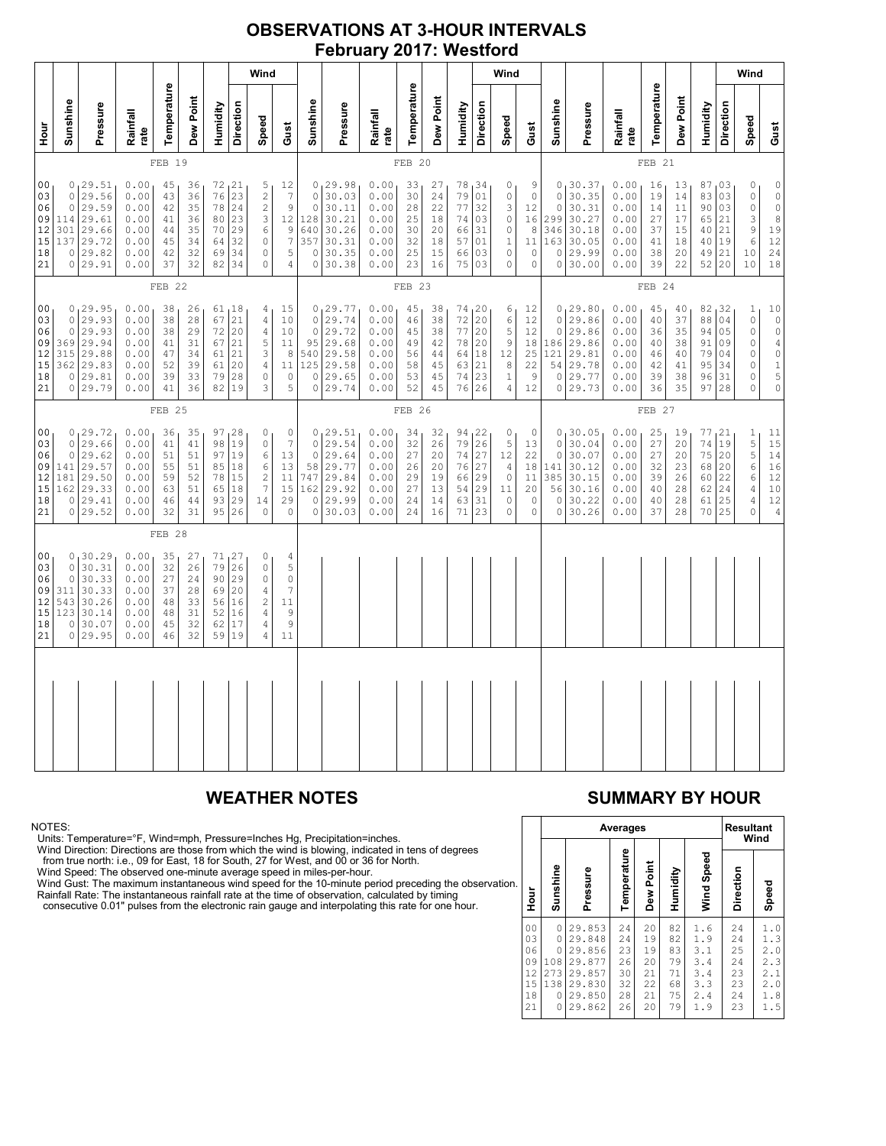## **OBSERVATIONS AT 3-HOUR INTERVALS February 2017: Westford**

|                                                                                                                                                                                                                                                                                                                                                                                                                                                                                                                                                                                                                                                             |                                             |                                                                               |                                                              |                                              |                                                                 |                                                                         |                                                              | Wind                                                                                      |                                                                                              |                                                                   |                                                                         |                                                                          |                                                           |                                                                         |                                                                      |                                                              | Wind                                                                  |                                                  |                                                                         |                                                                           |                                                                                          |                                                                                        |                                              |                                                 |                                               | Wind                                                                                                          |                                                                                                    |
|-------------------------------------------------------------------------------------------------------------------------------------------------------------------------------------------------------------------------------------------------------------------------------------------------------------------------------------------------------------------------------------------------------------------------------------------------------------------------------------------------------------------------------------------------------------------------------------------------------------------------------------------------------------|---------------------------------------------|-------------------------------------------------------------------------------|--------------------------------------------------------------|----------------------------------------------|-----------------------------------------------------------------|-------------------------------------------------------------------------|--------------------------------------------------------------|-------------------------------------------------------------------------------------------|----------------------------------------------------------------------------------------------|-------------------------------------------------------------------|-------------------------------------------------------------------------|--------------------------------------------------------------------------|-----------------------------------------------------------|-------------------------------------------------------------------------|----------------------------------------------------------------------|--------------------------------------------------------------|-----------------------------------------------------------------------|--------------------------------------------------|-------------------------------------------------------------------------|---------------------------------------------------------------------------|------------------------------------------------------------------------------------------|----------------------------------------------------------------------------------------|----------------------------------------------|-------------------------------------------------|-----------------------------------------------|---------------------------------------------------------------------------------------------------------------|----------------------------------------------------------------------------------------------------|
| 늘<br>모                                                                                                                                                                                                                                                                                                                                                                                                                                                                                                                                                                                                                                                      | Sunshine                                    | Pressure                                                                      | Rainfall<br>rate                                             | Temperature                                  | Dew Point                                                       | Humidity                                                                | Direction                                                    | Speed                                                                                     | Gust                                                                                         | Sunshine                                                          | Pressure                                                                | Rainfall<br>rate                                                         | Temperature                                               | Dew Point                                                               | Humidity                                                             | Direction                                                    | Speed                                                                 | Gust                                             | Sunshine                                                                | Pressure                                                                  | Rainfall<br>rate                                                                         | Temperature                                                                            | Dew Point                                    | Humidity                                        | Direction                                     | Speed                                                                                                         | Gust                                                                                               |
|                                                                                                                                                                                                                                                                                                                                                                                                                                                                                                                                                                                                                                                             |                                             |                                                                               |                                                              | FEB 19                                       |                                                                 |                                                                         |                                                              |                                                                                           |                                                                                              |                                                                   |                                                                         |                                                                          | FEB 20                                                    |                                                                         |                                                                      |                                                              |                                                                       |                                                  |                                                                         |                                                                           |                                                                                          | FEB 21                                                                                 |                                              |                                                 |                                               |                                                                                                               |                                                                                                    |
| 0, 29.51<br>0.00<br>72<br>$\begin{array}{c} 21 \\ 23 \end{array}$<br>0 <sub>0</sub><br>45<br>36<br>$\frac{5}{2}$<br>12<br>$\overline{7}$<br>29.56<br>76<br>0.00<br>36<br>03<br>0<br>43<br>$\overline{c}$<br>29.59<br>78<br>24<br>$\mathfrak{g}$<br>06<br>$\circ$<br>0.00<br>35<br>42<br>23<br>3<br>12<br>09<br>114<br>29.61<br>0.00<br>36<br>80<br>41<br>9<br>301<br>29.66<br>0.00<br>35<br>70<br>29<br>6<br>$12 \,$<br>44<br>$\overline{7}$<br>15<br>29.72<br>0.00<br>$\mathbb O$<br>137<br>34<br>64<br>32<br>45<br>5<br>0 29.82<br>0.00<br>32<br>69<br>34<br>$\mathbb O$<br>18<br>42<br>0 29.91<br>0.00<br>37<br>32<br>82<br>34<br>$\mathbf 0$<br>21<br>4 |                                             |                                                                               |                                                              |                                              | $\mathbb O$<br>$\mathbf 0$<br>128<br>640<br>357<br>$\circ$<br>0 | 0, 29.98<br>30.03<br>30.11<br>30.21<br>30.26<br>30.31<br>30.35<br>30.38 | 0.00<br>0.00<br>0.00<br>0.00<br>0.00<br>0.00<br>0.00<br>0.00 | 33<br>30<br>28<br>25<br>30<br>32<br>25<br>23                                              | 27<br>24<br>22<br>18<br>20<br>18<br>15<br>16                                                 | 78<br>79<br>77<br>74<br>66<br>57<br>66<br>75                      | 134<br>01<br>32<br>03<br>31<br>01<br>03<br>03                           | 0<br>$\mathbb O$<br>3<br>$\mathbb O$<br>0<br>$1\,$<br>$\circ$<br>$\circ$ | 9<br>$\circ$<br>12<br>16<br>8<br>11<br>$\circ$<br>$\circ$ | $\mathbf{0}$<br>$\circ$<br>$\circ$<br>299<br>346<br>163<br>$\circ$<br>0 | 30.37<br>30.35<br>30.31<br>30.27<br>30.18<br>30.05<br>29.99<br>30.00 | 0.00<br>0.00<br>0.00<br>0.00<br>0.00<br>0.00<br>0.00<br>0.00 | 16<br>19<br>14<br>27<br>37<br>41<br>38<br>39                          | 13<br>$1\,4$<br>11<br>17<br>15<br>18<br>20<br>22 | 87<br>83<br>90<br>65<br>40<br>40<br>49<br>52                            | 103<br>03<br>03<br>21<br>21<br>19<br>21<br>20                             | 0<br>$\circ$<br>$\mathbb O$<br>$\ensuremath{\mathsf{3}}$<br>$\mathsf 9$<br>6<br>10<br>10 | $\begin{smallmatrix}0\\0\\0\end{smallmatrix}$<br>$\frac{0}{8}$<br>19<br>12<br>24<br>18 |                                              |                                                 |                                               |                                                                                                               |                                                                                                    |
|                                                                                                                                                                                                                                                                                                                                                                                                                                                                                                                                                                                                                                                             | FEB 22                                      |                                                                               |                                                              |                                              |                                                                 |                                                                         | FEB 23                                                       |                                                                                           |                                                                                              |                                                                   |                                                                         |                                                                          |                                                           |                                                                         |                                                                      |                                                              | FEB 24                                                                |                                                  |                                                                         |                                                                           |                                                                                          |                                                                                        |                                              |                                                 |                                               |                                                                                                               |                                                                                                    |
| 00<br>03<br>06<br>09<br>12<br>15<br>18<br>21                                                                                                                                                                                                                                                                                                                                                                                                                                                                                                                                                                                                                | $\circ$<br>0<br>369<br>315<br>$\circ$       | 0, 29.95<br>29.93<br>29.93<br>29.94<br>29.88<br>362 29.83<br>29.81<br>0 29.79 | 0.00<br>0.00<br>0.00<br>0.00<br>0.00<br>0.00<br>0.00<br>0.00 | 38<br>38<br>38<br>41<br>47<br>52<br>39<br>41 | 26<br>28<br>29<br>31<br>34<br>39<br>33<br>36                    | 67<br>72<br>67<br>61<br>61<br>79<br>82                                  | 61, 18<br>21<br>20<br>21<br>21<br>20<br>28<br>19             | 4 <sub>1</sub><br>$\overline{4}$<br>$\sqrt{4}$<br>5<br>3<br>$\sqrt{4}$<br>$\circ$<br>3    | 15<br>10<br>10<br>11<br>8<br>11<br>$\circ$<br>5                                              | $\circ$<br>$\circ$<br>95<br>540<br>125<br>$\circ$<br>$\circ$      | 0, 29.77<br>29.74<br>29.72<br>29.68<br>29.58<br>29.58<br>29.65<br>29.74 | 0.00<br>0.00<br>0.00<br>0.00<br>0.00<br>0.00<br>0.00<br>0.00             | 45<br>46<br>45<br>49<br>56<br>58<br>53<br>52              | 38<br>38<br>38<br>42<br>44<br>45<br>45<br>45                            | 74, 20<br>72<br>77<br>78<br>64<br>63<br>74<br>76                     | 20<br>20<br> 20<br>18<br>21<br>23<br>26                      | 6<br>$\epsilon$<br>5<br>9<br>12<br>$\,8\,$<br>$\,1$<br>$\overline{4}$ | 12<br>12<br>12<br>18<br>25<br>22<br>9<br>12      | $\circ$<br>$\circ$<br>186<br>121<br>54<br>$\circ$                       | 0, 29.80<br>29.86<br>29.86<br>29.86<br>29.81<br>29.78<br>29.77<br>0 29.73 | 0.00<br>0.00<br>0.00<br>0.00<br>0.00<br>0.00<br>0.00<br>0.00                             | 45<br>40<br>36<br>40<br>46<br>42<br>39<br>36                                           | 40<br>37<br>35<br>38<br>40<br>41<br>38<br>35 | 82,32<br>88<br>94<br>91<br>79<br>95<br>96<br>97 | 04<br>05<br>09<br>04<br>34<br>31<br>28        | $\mathbf{1}$<br>$\circ$<br>$\mathbb O$<br>$\circ$<br>$\mathbb O$<br>$\mathbb O$<br>$\mathbb O$<br>$\mathbb O$ | $10$<br>$\overline{0}$<br>$\sqrt{4}$<br>$\begin{smallmatrix}0\\1\end{smallmatrix}$<br>5<br>$\circ$ |
|                                                                                                                                                                                                                                                                                                                                                                                                                                                                                                                                                                                                                                                             |                                             |                                                                               |                                                              | FEB 25                                       |                                                                 |                                                                         |                                                              |                                                                                           |                                                                                              |                                                                   |                                                                         |                                                                          | FEB 26                                                    |                                                                         |                                                                      |                                                              |                                                                       |                                                  | FEB 27                                                                  |                                                                           |                                                                                          |                                                                                        |                                              |                                                 |                                               |                                                                                                               |                                                                                                    |
| 0 <sub>0</sub><br>03<br>06<br>09<br>12<br>15<br>18<br>21                                                                                                                                                                                                                                                                                                                                                                                                                                                                                                                                                                                                    | 0<br>0<br>141<br>181<br>162<br>0            | 0, 29.72<br>29.66<br>29.62<br>29.57<br>29.50<br>29.33<br>29.41<br>0 29.52     | 0.00<br>0.00<br>0.00<br>0.00<br>0.00<br>0.00<br>0.00<br>0.00 | 36<br>41<br>51<br>55<br>59<br>63<br>46<br>32 | 35<br>41<br>51<br>51<br>52<br>51<br>44<br>31                    | 97<br>98<br>97<br>78<br>65<br>93<br>95                                  | 28<br>19<br>19<br>85 18<br>15<br>18<br>29<br>26              | 0<br>$\circ$<br>6<br>6<br>$\overline{\mathbf{c}}$<br>$\overline{7}$<br>14<br>$\mathbf{0}$ | $\mathbb O$<br>$\overline{7}$<br>13<br>13<br>11<br>$1\,5$<br>29<br>$\mathbf 0$               | 0<br>$\circ$<br>$\circ$<br>58<br>747<br>162<br>$\circ$<br>$\circ$ | 129.51<br>29.54<br>29.64<br>29.77<br>29.84<br>29.92<br>29.99<br>30.03   | 0.00<br>0.00<br>0.00<br>0.00<br>0.00<br>0.00<br>0.00<br>0.00             | 34<br>32<br>27<br>26<br>29<br>27<br>24<br>24              | 32<br>26<br>20<br>20<br>19<br>13<br>14<br>16                            | 94<br>79<br>74<br>76<br>66<br>54<br>63<br>71                         | 122<br>26<br>27<br>27<br>29<br>29<br>31<br>23                | 0<br>5<br>12<br>$\sqrt{4}$<br>$\mathbb O$<br>$1\,1$<br>0<br>$\circ$   | 0<br>13<br>22<br>18<br>11<br>20<br>0<br>$\circ$  | $\mathbf{0}$<br>$\circ$<br>$\circ$<br>141<br>385<br>56<br>0<br>$\Omega$ | 30.05<br>30.04<br>30.07<br>30.12<br>30.15<br>30.16<br>30.22<br>30.26      | 0.00<br>0.00<br>0.00<br>0.00<br>0.00<br>0.00<br>0.00<br>0.00                             | 25<br>27<br>27<br>32<br>39<br>40<br>40<br>37                                           | 19<br>20<br>20<br>23<br>26<br>28<br>28<br>28 | 77<br>74<br>75<br>68<br>60<br>62<br>61<br>70    | 121<br>19<br>20<br>20<br>22<br>24<br>25<br>25 | $\mathbf{1}$<br>$\mathbf 5$<br>$\mathsf S$<br>6<br>6<br>$\overline{4}$<br>4<br>$\circ$                        | 11<br>15<br>14<br>16<br>12<br>$10$<br>12<br>$\overline{4}$                                         |
|                                                                                                                                                                                                                                                                                                                                                                                                                                                                                                                                                                                                                                                             |                                             |                                                                               |                                                              | FEB <sub>28</sub>                            |                                                                 |                                                                         |                                                              |                                                                                           |                                                                                              |                                                                   |                                                                         |                                                                          |                                                           |                                                                         |                                                                      |                                                              |                                                                       |                                                  |                                                                         |                                                                           |                                                                                          |                                                                                        |                                              |                                                 |                                               |                                                                                                               |                                                                                                    |
| 00<br>03<br>06<br>09<br>12<br>15<br>18<br>21                                                                                                                                                                                                                                                                                                                                                                                                                                                                                                                                                                                                                | 0<br>$\circ$<br>311<br>543<br>123<br>0<br>0 | 0, 30.29<br>30.31<br>30.33<br>30.33<br>30.26<br>30.14<br>30.07<br>29.95       | 0.00<br>0.00<br>0.00<br>0.00<br>0.00<br>0.00<br>0.00<br>0.00 | 35<br>32<br>27<br>37<br>48<br>48<br>45<br>46 | 27<br>26<br>24<br>28<br>33<br>31<br>32<br>32                    | 79<br>90<br>69<br>56<br>52<br>62<br>59                                  | 71, 27<br>26<br>29<br>20<br>16<br>16<br>17<br>19             | 0<br>$\circ$<br>$\circ$<br>4<br>$\overline{2}$<br>$\sqrt{4}$<br>$\sqrt{4}$<br>4           | $\overline{4}$<br>5<br>$\circ$<br>$\overline{7}$<br>11<br>$\mathsf 9$<br>$\mathcal{G}$<br>11 |                                                                   |                                                                         |                                                                          |                                                           |                                                                         |                                                                      |                                                              |                                                                       |                                                  |                                                                         |                                                                           |                                                                                          |                                                                                        |                                              |                                                 |                                               |                                                                                                               |                                                                                                    |
|                                                                                                                                                                                                                                                                                                                                                                                                                                                                                                                                                                                                                                                             |                                             |                                                                               |                                                              |                                              |                                                                 |                                                                         |                                                              |                                                                                           |                                                                                              |                                                                   |                                                                         |                                                                          |                                                           |                                                                         |                                                                      |                                                              |                                                                       |                                                  |                                                                         |                                                                           |                                                                                          |                                                                                        |                                              |                                                 |                                               |                                                                                                               |                                                                                                    |
|                                                                                                                                                                                                                                                                                                                                                                                                                                                                                                                                                                                                                                                             |                                             |                                                                               |                                                              |                                              |                                                                 |                                                                         |                                                              |                                                                                           |                                                                                              |                                                                   |                                                                         |                                                                          |                                                           |                                                                         |                                                                      |                                                              |                                                                       |                                                  |                                                                         |                                                                           |                                                                                          |                                                                                        |                                              |                                                 |                                               |                                                                                                               |                                                                                                    |

NOTES:<br>Units: Temperature=°F, Wind=mph, Pressure=Inches Hg, Precipitation=inches.<br>Units: Temperature=°F, Wind=mph, Pressure=Inches Hg, Precipitation=inches.<br>
Yind Direction: Directions are those from which the wind is blow

## **WEATHER NOTES SUMMARY BY HOUR**

|    |                                                          |                                                                        |                                                                              | Averages                                     |                                              |                                              | <b>Resultant</b><br>Wind                             |                                              |                                                      |  |  |
|----|----------------------------------------------------------|------------------------------------------------------------------------|------------------------------------------------------------------------------|----------------------------------------------|----------------------------------------------|----------------------------------------------|------------------------------------------------------|----------------------------------------------|------------------------------------------------------|--|--|
| n. | Hour                                                     | Sunshine                                                               | Pressure                                                                     | Temperature                                  | Dew Point                                    | Humidity                                     | Wind Speed                                           | Direction                                    | Speed                                                |  |  |
|    | 0 <sub>0</sub><br>03<br>06<br>09<br>12<br>15<br>18<br>21 | 0<br>$\Omega$<br>$\Omega$<br>108<br>273<br>138<br>$\Omega$<br>$\Omega$ | 29.853<br>29.848<br>29.856<br>29.877<br>29.857<br>29.830<br>29.850<br>29.862 | 24<br>24<br>23<br>26<br>30<br>32<br>28<br>26 | 20<br>19<br>19<br>20<br>21<br>22<br>21<br>20 | 82<br>82<br>83<br>79<br>71<br>68<br>75<br>79 | 1.6<br>1.9<br>3.1<br>3.4<br>3.4<br>3.3<br>2.4<br>1.9 | 24<br>24<br>25<br>24<br>23<br>23<br>24<br>23 | 1.0<br>1.3<br>2.0<br>2.3<br>2.1<br>2.0<br>1.8<br>1.5 |  |  |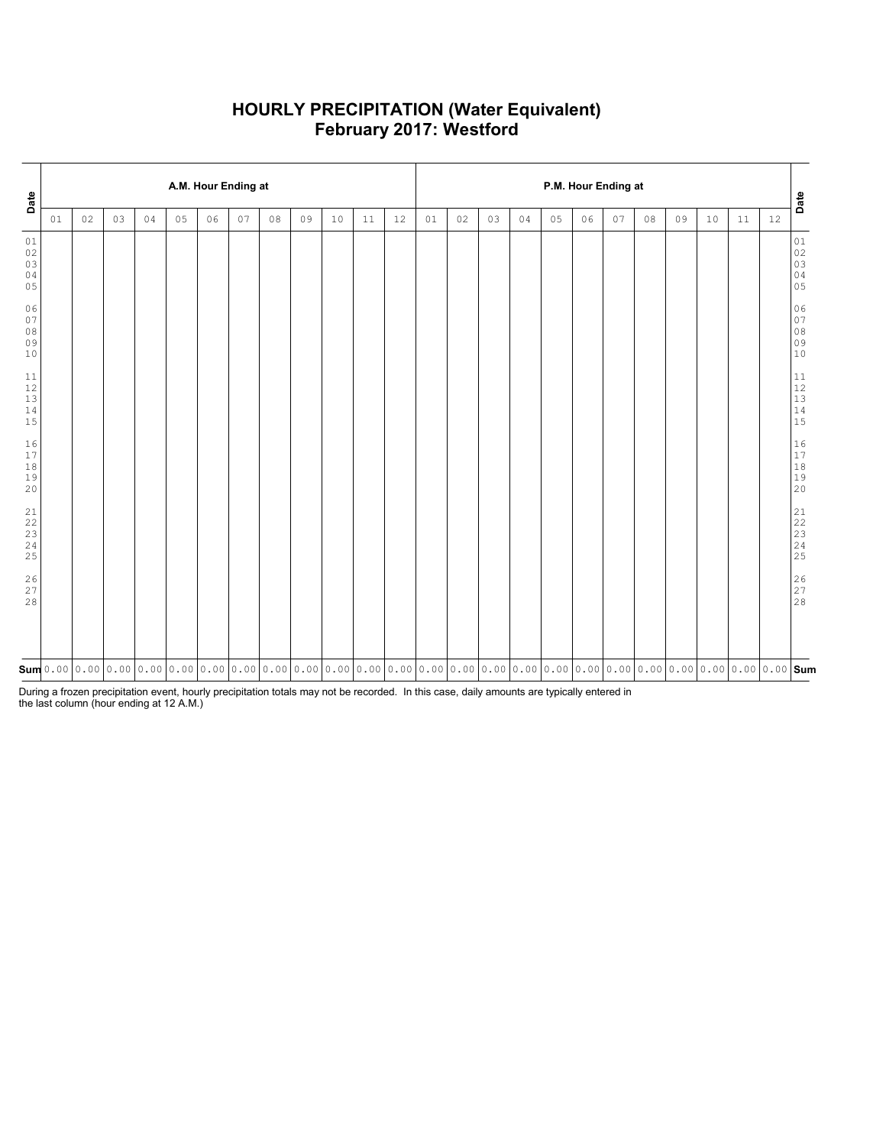### **HOURLY PRECIPITATION (Water Equivalent) February 2017: Westford**

| Date                             |    |    |    |    |    |    | A.M. Hour Ending at |    |                                                                                                                                                                                                                                                                                        |    |    |    | P.M. Hour Ending at |    |    |    |    |    |    |    |    |    |    |    |                                                                                                    |
|----------------------------------|----|----|----|----|----|----|---------------------|----|----------------------------------------------------------------------------------------------------------------------------------------------------------------------------------------------------------------------------------------------------------------------------------------|----|----|----|---------------------|----|----|----|----|----|----|----|----|----|----|----|----------------------------------------------------------------------------------------------------|
|                                  | 01 | 02 | 03 | 04 | 05 | 06 | 07                  | 08 | 09                                                                                                                                                                                                                                                                                     | 10 | 11 | 12 | 01                  | 02 | 03 | 04 | 05 | 06 | 07 | 08 | 09 | 10 | 11 | 12 | Date                                                                                               |
| 01<br>02<br>03<br>04<br>05       |    |    |    |    |    |    |                     |    |                                                                                                                                                                                                                                                                                        |    |    |    |                     |    |    |    |    |    |    |    |    |    |    |    | $01\,$<br>$\begin{array}{c} 02 \\ 03 \end{array}$<br>$\begin{array}{c} 04 \\ 05 \end{array}$       |
| 06<br>07<br>$0\,8$<br>09<br>$10$ |    |    |    |    |    |    |                     |    |                                                                                                                                                                                                                                                                                        |    |    |    |                     |    |    |    |    |    |    |    |    |    |    |    | 06<br>$\begin{array}{c} 0 \\ 0 \\ 8 \end{array}$<br>09<br>10                                       |
| $11\,$<br>$12$<br>13<br>14<br>15 |    |    |    |    |    |    |                     |    |                                                                                                                                                                                                                                                                                        |    |    |    |                     |    |    |    |    |    |    |    |    |    |    |    | $1\,1$<br>$\begin{array}{c} 12 \\ 13 \end{array}$<br>$\begin{array}{c} 14 \\ 14 \\ 15 \end{array}$ |
| 16<br>17<br>$1\,8$<br>19<br>20   |    |    |    |    |    |    |                     |    |                                                                                                                                                                                                                                                                                        |    |    |    |                     |    |    |    |    |    |    |    |    |    |    |    | $16\,$<br>$17$<br>$1\,8$<br>19<br>20                                                               |
| 21<br>22<br>23<br>24<br>25       |    |    |    |    |    |    |                     |    |                                                                                                                                                                                                                                                                                        |    |    |    |                     |    |    |    |    |    |    |    |    |    |    |    | 21<br>22<br>23<br>24<br>25                                                                         |
| $\frac{26}{27}$<br>28            |    |    |    |    |    |    |                     |    |                                                                                                                                                                                                                                                                                        |    |    |    |                     |    |    |    |    |    |    |    |    |    |    |    | $\begin{array}{c} 2 \, 6 \\ 2 \, 7 \\ 2 \, 8 \end{array}$                                          |
|                                  |    |    |    |    |    |    |                     |    | $\mathsf{sum}$ 0.00 $\mid$ 0.00 $\mid$ 0.00 $\mid$ 0.00 $\mid$ 0.00 $\mid$ 0.00 $\mid$ 0.00 $\mid$ 0.00 $\mid$ 0.00 $\mid$ 0.00 $\mid$ 0.00 $\mid$ 0.00 $\mid$ 0.00 $\mid$ 0.00 $\mid$ 0.00 $\mid$ 0.00 $\mid$ 0.00 $\mid$ 0.00 $\mid$ 0.00 $\mid$ 0.00 $\mid$ 0.00 $\mid$ 0.00 $\mid$ |    |    |    |                     |    |    |    |    |    |    |    |    |    |    |    |                                                                                                    |

During a frozen precipitation event, hourly precipitation totals may not be recorded. In this case, daily amounts are typically entered in the last column (hour ending at 12 A.M.)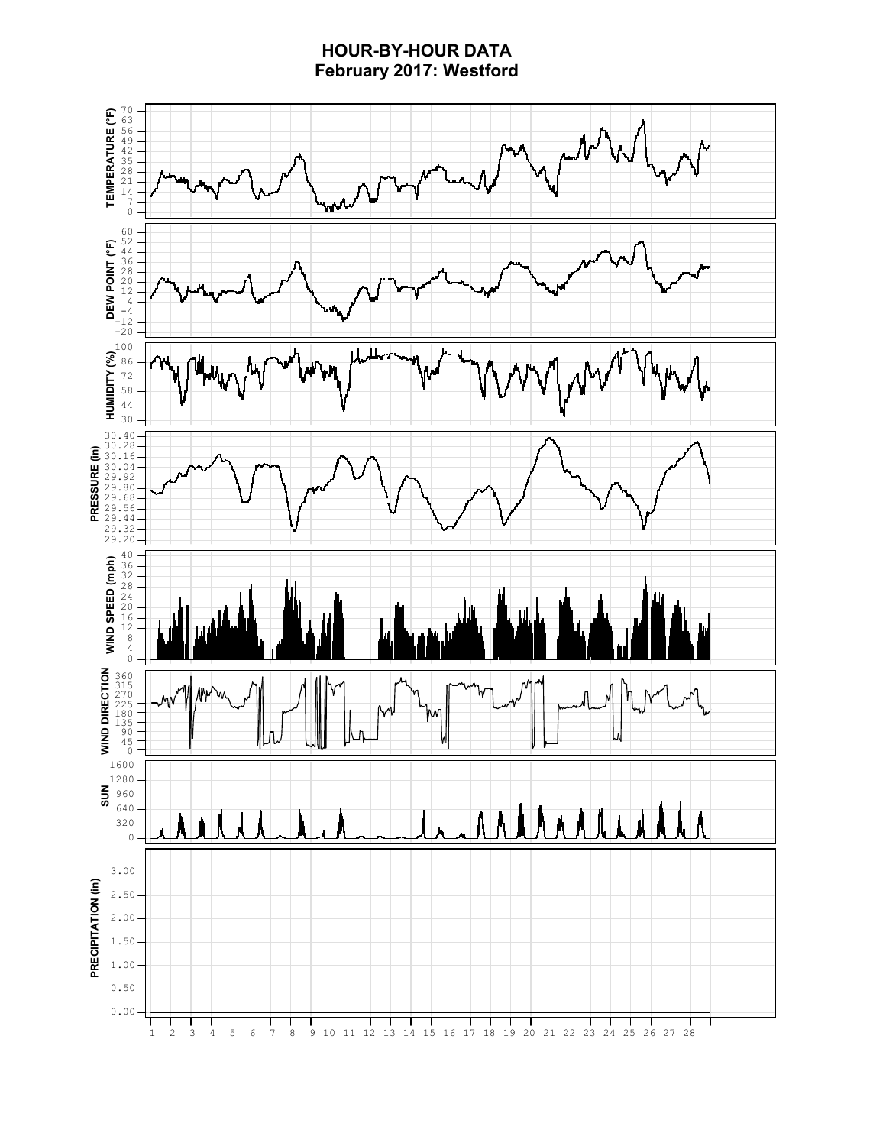# **HOUR-BY-HOUR DATA February 2017: Westford**